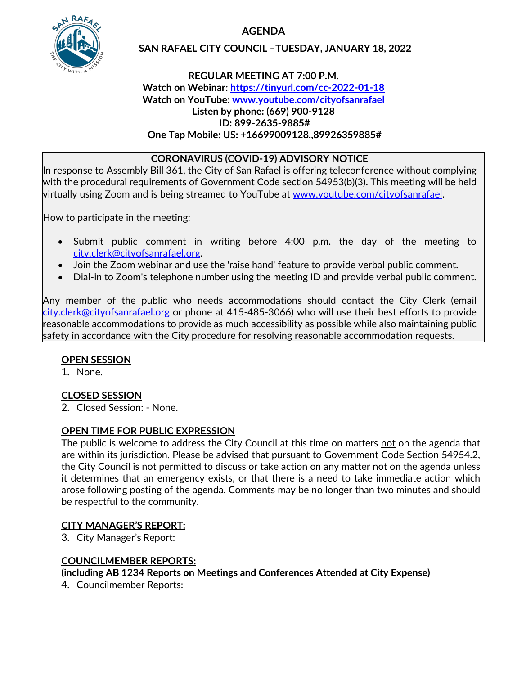**AGENDA**



## **SAN RAFAEL CITY COUNCIL –TUESDAY, JANUARY 18, 2022**

## **REGULAR MEETING AT 7:00 P.M. Watch on Webinar: <https://tinyurl.com/cc-2022-01-18> Watch on YouTube: [www.youtube.com/cityofsanrafael](http://www.youtube.com/cityofsanrafael) Listen by phone: (669) 900-9128 ID: 899-2635-9885# One Tap Mobile: US: +16699009128,,89926359885#**

## **CORONAVIRUS (COVID-19) ADVISORY NOTICE**

In response to Assembly Bill 361, the City of San Rafael is offering teleconference without complying with the procedural requirements of Government Code section 54953(b)(3). This meeting will be held virtually using Zoom and is being streamed to YouTube at [www.youtube.com/cityofsanrafael.](http://www.youtube.com/cityofsanrafael)

How to participate in the meeting:

- Submit public comment in writing before 4:00 p.m. the day of the meeting to [city.clerk@cityofsanrafael.org.](mailto:city.clerk@cityofsanrafael.org)
- Join the Zoom webinar and use the 'raise hand' feature to provide verbal public comment.
- Dial-in to Zoom's telephone number using the meeting ID and provide verbal public comment.

Any member of the public who needs accommodations should contact the City Clerk (email [city.clerk@cityofsanrafael.org](mailto:city.clerk@cityofsanrafael.org) or phone at 415-485-3066) who will use their best efforts to provide reasonable accommodations to provide as much accessibility as possible while also maintaining public safety in accordance with the City procedure for resolving reasonable accommodation requests.

## **OPEN SESSION**

1. None.

# **CLOSED SESSION**

2. Closed Session: - None.

# **OPEN TIME FOR PUBLIC EXPRESSION**

The public is welcome to address the City Council at this time on matters not on the agenda that are within its jurisdiction. Please be advised that pursuant to Government Code Section 54954.2, the City Council is not permitted to discuss or take action on any matter not on the agenda unless it determines that an emergency exists, or that there is a need to take immediate action which arose following posting of the agenda. Comments may be no longer than two minutes and should be respectful to the community.

# **CITY MANAGER'S REPORT:**

3. City Manager's Report:

# **COUNCILMEMBER REPORTS:**

**(including AB 1234 Reports on Meetings and Conferences Attended at City Expense)**

4. Councilmember Reports: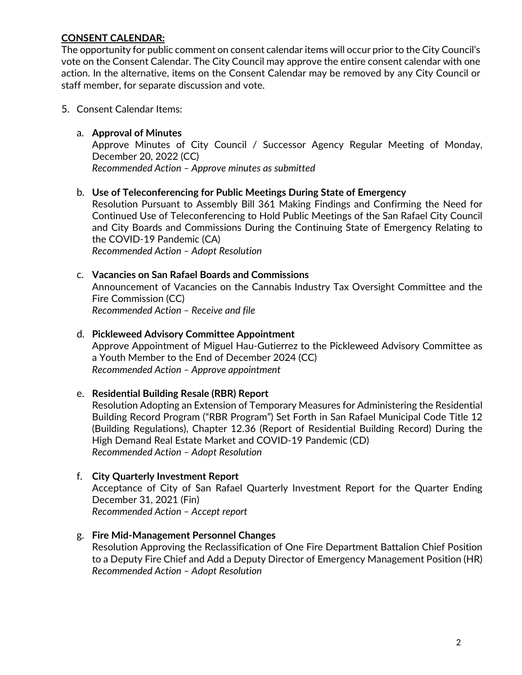## **CONSENT CALENDAR:**

The opportunity for public comment on consent calendar items will occur prior to the City Council's vote on the Consent Calendar. The City Council may approve the entire consent calendar with one action. In the alternative, items on the Consent Calendar may be removed by any City Council or staff member, for separate discussion and vote.

### 5. Consent Calendar Items:

### a. **Approval of Minutes**

Approve Minutes of City Council / Successor Agency Regular Meeting of Monday, December 20, 2022 (CC) *Recommended Action – Approve minutes as submitted*

### b. **Use of Teleconferencing for Public Meetings During State of Emergency**

Resolution Pursuant to Assembly Bill 361 Making Findings and Confirming the Need for Continued Use of Teleconferencing to Hold Public Meetings of the San Rafael City Council and City Boards and Commissions During the Continuing State of Emergency Relating to the COVID-19 Pandemic (CA) *Recommended Action – Adopt Resolution*

#### c. **Vacancies on San Rafael Boards and Commissions**

Announcement of Vacancies on the Cannabis Industry Tax Oversight Committee and the Fire Commission (CC) *Recommended Action – Receive and file*

### d. **Pickleweed Advisory Committee Appointment**

Approve Appointment of Miguel Hau-Gutierrez to the Pickleweed Advisory Committee as a Youth Member to the End of December 2024 (CC) *Recommended Action – Approve appointment*

#### e. **Residential Building Resale (RBR) Report**

Resolution Adopting an Extension of Temporary Measures for Administering the Residential Building Record Program ("RBR Program") Set Forth in San Rafael Municipal Code Title 12 (Building Regulations), Chapter 12.36 (Report of Residential Building Record) During the High Demand Real Estate Market and COVID-19 Pandemic (CD) *Recommended Action – Adopt Resolution*

#### f. **City Quarterly Investment Report**

Acceptance of City of San Rafael Quarterly Investment Report for the Quarter Ending December 31, 2021 (Fin) *Recommended Action – Accept report*

#### g. **Fire Mid-Management Personnel Changes**

Resolution Approving the Reclassification of One Fire Department Battalion Chief Position to a Deputy Fire Chief and Add a Deputy Director of Emergency Management Position (HR) *Recommended Action – Adopt Resolution*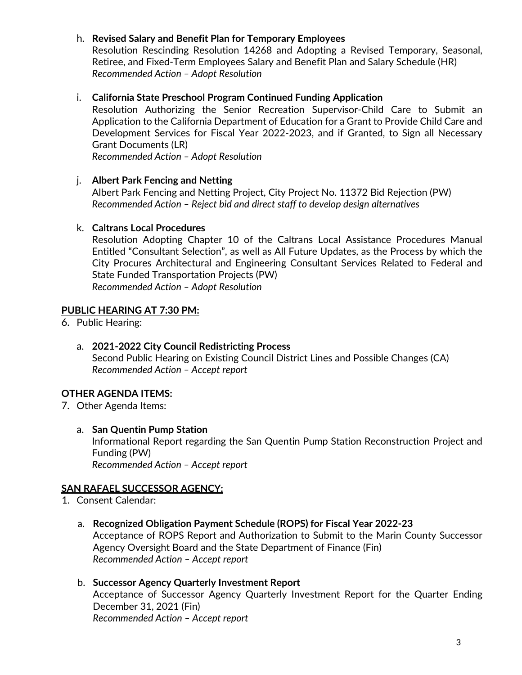## h. **Revised Salary and Benefit Plan for Temporary Employees**

Resolution Rescinding Resolution 14268 and Adopting a Revised Temporary, Seasonal, Retiree, and Fixed-Term Employees Salary and Benefit Plan and Salary Schedule (HR) *Recommended Action – Adopt Resolution*

## i. **California State Preschool Program Continued Funding Application**

Resolution Authorizing the Senior Recreation Supervisor-Child Care to Submit an Application to the California Department of Education for a Grant to Provide Child Care and Development Services for Fiscal Year 2022-2023, and if Granted, to Sign all Necessary Grant Documents (LR)

*Recommended Action – Adopt Resolution*

## j. **Albert Park Fencing and Netting**

Albert Park Fencing and Netting Project, City Project No. 11372 Bid Rejection (PW) *Recommended Action – Reject bid and direct staff to develop design alternatives*

## k. **Caltrans Local Procedures**

Resolution Adopting Chapter 10 of the Caltrans Local Assistance Procedures Manual Entitled "Consultant Selection", as well as All Future Updates, as the Process by which the City Procures Architectural and Engineering Consultant Services Related to Federal and State Funded Transportation Projects (PW) *Recommended Action – Adopt Resolution*

## **PUBLIC HEARING AT 7:30 PM:**

- 6. Public Hearing:
	- a. **2021-2022 City Council Redistricting Process** Second Public Hearing on Existing Council District Lines and Possible Changes (CA) *Recommended Action – Accept report*

# **OTHER AGENDA ITEMS:**

- 7. Other Agenda Items:
	- a. **San Quentin Pump Station**

Informational Report regarding the San Quentin Pump Station Reconstruction Project and Funding (PW)

*Recommended Action – Accept report*

## **SAN RAFAEL SUCCESSOR AGENCY:**

- 1. Consent Calendar:
	- a. **Recognized Obligation Payment Schedule (ROPS) for Fiscal Year 2022-23**

Acceptance of ROPS Report and Authorization to Submit to the Marin County Successor Agency Oversight Board and the State Department of Finance (Fin) *Recommended Action – Accept report*

#### b. **Successor Agency Quarterly Investment Report**

Acceptance of Successor Agency Quarterly Investment Report for the Quarter Ending December 31, 2021 (Fin) *Recommended Action – Accept report*